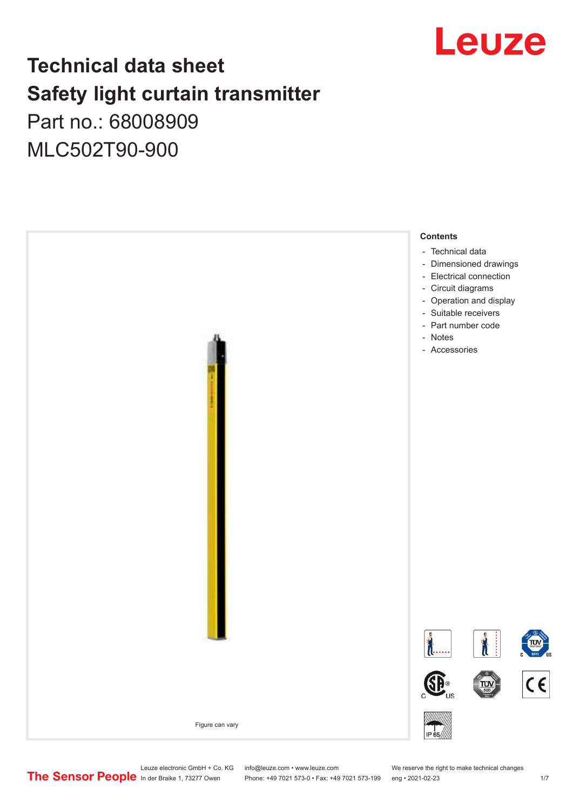

## **Technical data sheet Safety light curtain transmitter** Part no.: 68008909

MLC502T90-900



Leuze electronic GmbH + Co. KG info@leuze.com • www.leuze.com We reserve the right to make technical changes<br>
The Sensor People in der Braike 1, 73277 Owen Phone: +49 7021 573-0 • Fax: +49 7021 573-199 eng • 2021-02-23

Phone: +49 7021 573-0 • Fax: +49 7021 573-199 eng • 2021-02-23 1 /7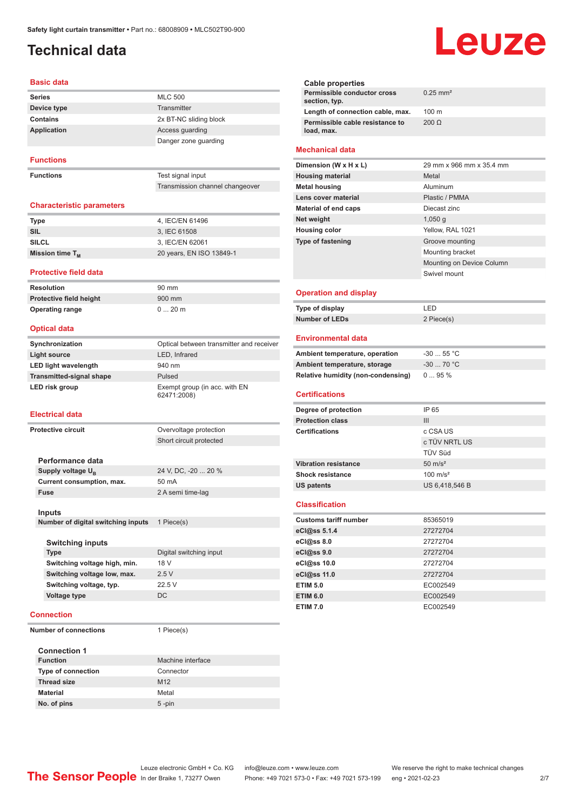## <span id="page-1-0"></span>**Technical data**

#### **Basic data**

| <b>Series</b> | <b>MLC 500</b>         |
|---------------|------------------------|
| Device type   | Transmitter            |
| Contains      | 2x BT-NC sliding block |
| Application   | Access quarding        |
|               | Danger zone guarding   |

#### **Functions**

**Functions** 

| Test signal input               |  |
|---------------------------------|--|
| Transmission channel changeover |  |

#### **Characteristic parameters**

| <b>Type</b>          | 4, IEC/EN 61496          |
|----------------------|--------------------------|
| SIL                  | 3. IEC 61508             |
| <b>SILCL</b>         | 3. IEC/EN 62061          |
| Mission time $T_{M}$ | 20 years, EN ISO 13849-1 |

#### **Protective field data**

**Resolution** 90 mm **Protective field height** 900 mm **Operating range** 0 ... 20 m

#### **Optical data**

| Synchronization                 | Optical between transmitter and receiver     |
|---------------------------------|----------------------------------------------|
| Light source                    | LED, Infrared                                |
| <b>LED light wavelength</b>     | 940 nm                                       |
| <b>Transmitted-signal shape</b> | Pulsed                                       |
| LED risk group                  | Exempt group (in acc. with EN<br>62471:2008) |

#### **Electrical data**

| Protective circuit            | Overvoltage protection  |
|-------------------------------|-------------------------|
|                               | Short circuit protected |
|                               |                         |
| Performance data              |                         |
| Supply voltage U <sub>p</sub> | 24 V, DC, -20  20 %     |
| Current consumption, max.     | 50 mA                   |
| <b>Fuse</b>                   | 2 A semi time-lag       |
|                               |                         |

#### **Inputs**

**Number of digital switching inputs** 1 Piece(s)

| Digital switching input |
|-------------------------|
| 18 V                    |
| 2.5V                    |
| 22.5V                   |
| DC.                     |
|                         |

#### **Connection**

**Number of connections** 1 Piece(s)

| <b>Connection 1</b>       |                   |
|---------------------------|-------------------|
| <b>Function</b>           | Machine interface |
| <b>Type of connection</b> | Connector         |
| <b>Thread size</b>        | M <sub>12</sub>   |
| <b>Material</b>           | Metal             |
| No. of pins               | $5 - pin$         |

# Leuze

|                        | <b>Cable properties</b>                       |                        |
|------------------------|-----------------------------------------------|------------------------|
|                        | Permissible conductor cross<br>section, typ.  | $0.25$ mm <sup>2</sup> |
|                        | Length of connection cable, max.              | $100 \text{ m}$        |
|                        | Permissible cable resistance to<br>load, max. | 200 O                  |
| <b>Mechanical data</b> |                                               |                        |

| Dimension (W x H x L)       | 29 mm x 966 mm x 35.4 mm  |
|-----------------------------|---------------------------|
| <b>Housing material</b>     | Metal                     |
| <b>Metal housing</b>        | Aluminum                  |
| Lens cover material         | Plastic / PMMA            |
| <b>Material of end caps</b> | Diecast zinc              |
| Net weight                  | 1,050q                    |
| <b>Housing color</b>        | Yellow, RAL 1021          |
| <b>Type of fastening</b>    | Groove mounting           |
|                             | Mounting bracket          |
|                             | Mounting on Device Column |
|                             | Swivel mount              |
|                             |                           |

#### **Operation and display**

| Type of display | ' FD.      |
|-----------------|------------|
| Number of LEDs  | 2 Piece(s) |

#### **Environmental data**

| Ambient temperature, operation     | $-3055$ °C |
|------------------------------------|------------|
| Ambient temperature, storage       | $-3070 °C$ |
| Relative humidity (non-condensing) | 095%       |

#### **Certifications**

| Degree of protection        | IP 65               |
|-----------------------------|---------------------|
| <b>Protection class</b>     | Ш                   |
| <b>Certifications</b>       | c CSA US            |
|                             | c TÜV NRTL US       |
|                             | <b>TÜV Süd</b>      |
| <b>Vibration resistance</b> | $50 \text{ m/s}^2$  |
| <b>Shock resistance</b>     | $100 \text{ m/s}^2$ |
| <b>US patents</b>           | US 6,418,546 B      |

#### **Classification**

| <b>Customs tariff number</b> | 85365019 |
|------------------------------|----------|
| eCl@ss 5.1.4                 | 27272704 |
| eCl@ss 8.0                   | 27272704 |
| eCl@ss 9.0                   | 27272704 |
| eCl@ss 10.0                  | 27272704 |
| eCl@ss 11.0                  | 27272704 |
| <b>ETIM 5.0</b>              | EC002549 |
| <b>ETIM 6.0</b>              | EC002549 |
| <b>ETIM 7.0</b>              | EC002549 |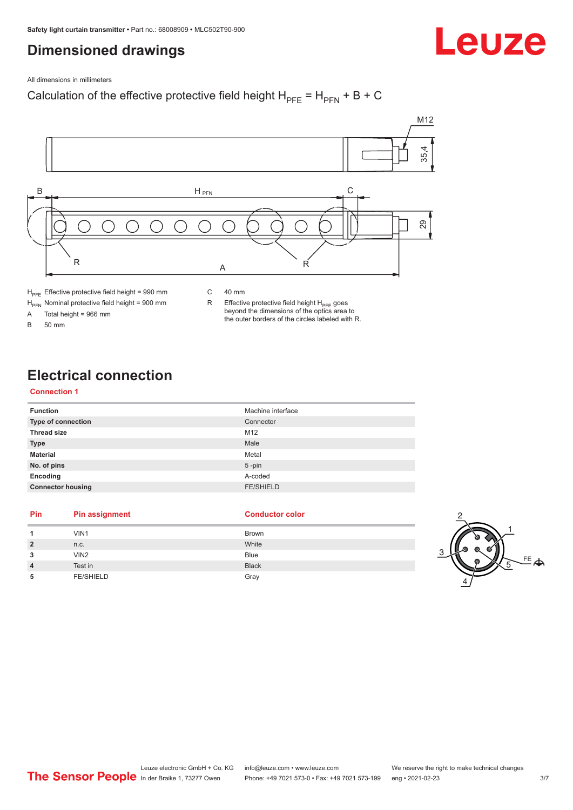## <span id="page-2-0"></span>**Dimensioned drawings**

Leuze

All dimensions in millimeters

## Calculation of the effective protective field height  $H_{PFE} = H_{PFN} + B + C$



 $H_{\text{PFE}}$  Effective protective field height = 990 mm

 $H_{\text{PFN}}$  Nominal protective field height = 900 mm<br>A Total height = 966 mm

Total height =  $966$  mm

B 50 mm

C 40 mm

R Effective protective field height  $H_{PFE}$  goes beyond the dimensions of the optics area to the outer borders of the circles labeled with R.

## **Electrical connection**

### **Connection 1**

| <b>Function</b>           | Machine interface |
|---------------------------|-------------------|
| <b>Type of connection</b> | Connector         |
| <b>Thread size</b>        | M12               |
| <b>Type</b>               | Male              |
| <b>Material</b>           | Metal             |
| No. of pins               | $5$ -pin          |
| Encoding                  | A-coded           |
| <b>Connector housing</b>  | <b>FE/SHIELD</b>  |

#### **Pin Pin assignment Conductor Conductor Color**

| 1              | VIN1             | <b>Brown</b> |   |
|----------------|------------------|--------------|---|
| $\overline{2}$ | n.c.             | White        |   |
| 3              | VIN <sub>2</sub> | <b>Blue</b>  | ◠ |
| $\overline{4}$ | Test in          | <b>Black</b> |   |
| 5              | <b>FE/SHIELD</b> | Gray         |   |

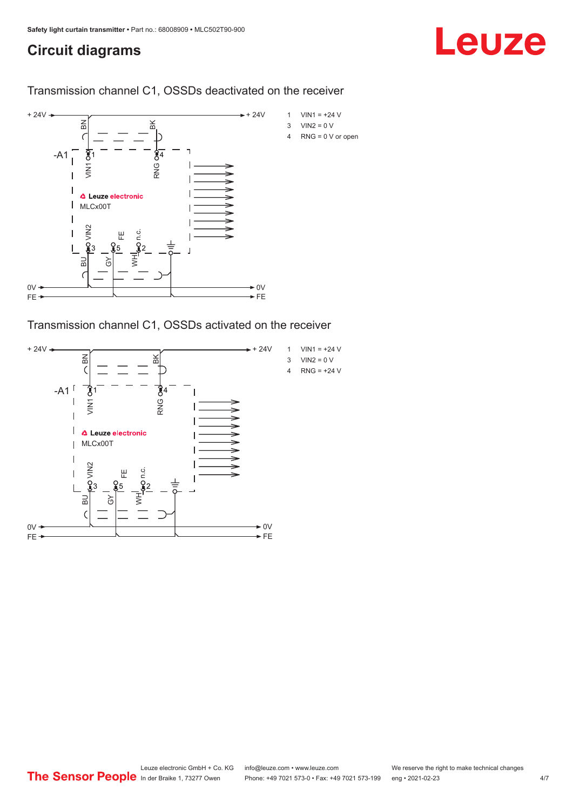## <span id="page-3-0"></span>**Circuit diagrams**

## Leuze

Transmission channel C1, OSSDs deactivated on the receiver



Transmission channel C1, OSSDs activated on the receiver

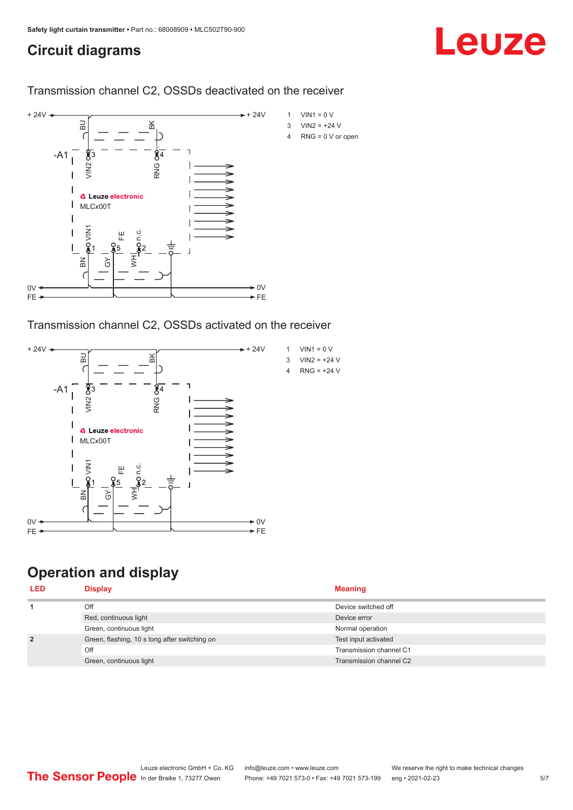## <span id="page-4-0"></span>**Circuit diagrams**

## Leuze

Transmission channel C2, OSSDs deactivated on the receiver



Transmission channel C2, OSSDs activated on the receiver



## **Operation and display**

| <b>Display</b>                                | <b>Meaning</b>          |
|-----------------------------------------------|-------------------------|
| Off                                           | Device switched off     |
| Red, continuous light                         | Device error            |
| Green, continuous light                       | Normal operation        |
| Green, flashing, 10 s long after switching on | Test input activated    |
| Off                                           | Transmission channel C1 |
| Green, continuous light                       | Transmission channel C2 |
|                                               |                         |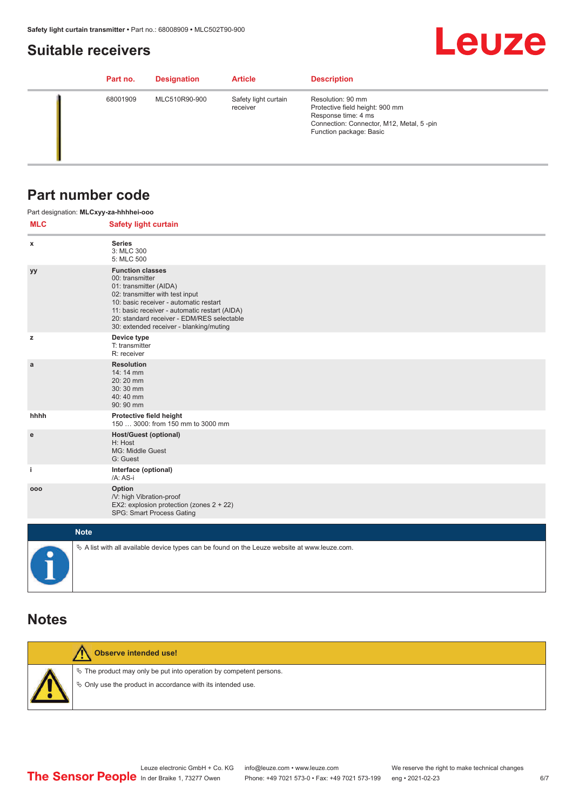### <span id="page-5-0"></span>**Suitable receivers**

## **Leuze**

| Part no. | <b>Designation</b> | <b>Article</b>                   | <b>Description</b>                                                                                                                                 |
|----------|--------------------|----------------------------------|----------------------------------------------------------------------------------------------------------------------------------------------------|
| 68001909 | MLC510R90-900      | Safety light curtain<br>receiver | Resolution: 90 mm<br>Protective field height: 900 mm<br>Response time: 4 ms<br>Connection: Connector, M12, Metal, 5-pin<br>Function package: Basic |

### **Part number code**

|            | Part designation: MLCxyy-za-hhhhei-ooo                                                                                                                                                                                                                                                      |
|------------|---------------------------------------------------------------------------------------------------------------------------------------------------------------------------------------------------------------------------------------------------------------------------------------------|
| <b>MLC</b> | <b>Safety light curtain</b>                                                                                                                                                                                                                                                                 |
| x          | <b>Series</b><br>3: MLC 300<br>5: MLC 500                                                                                                                                                                                                                                                   |
| уу         | <b>Function classes</b><br>00: transmitter<br>01: transmitter (AIDA)<br>02: transmitter with test input<br>10: basic receiver - automatic restart<br>11: basic receiver - automatic restart (AIDA)<br>20: standard receiver - EDM/RES selectable<br>30: extended receiver - blanking/muting |
| z          | Device type<br>T: transmitter<br>R: receiver                                                                                                                                                                                                                                                |
| a          | <b>Resolution</b><br>14: 14 mm<br>20:20 mm<br>30:30 mm<br>40:40 mm<br>90: 90 mm                                                                                                                                                                                                             |
| hhhh       | Protective field height<br>150  3000: from 150 mm to 3000 mm                                                                                                                                                                                                                                |
| e          | <b>Host/Guest (optional)</b><br>H: Host<br>MG: Middle Guest<br>G: Guest                                                                                                                                                                                                                     |
| j.         | Interface (optional)<br>/A: AS-i                                                                                                                                                                                                                                                            |
| 000        | Option<br>/V: high Vibration-proof<br>EX2: explosion protection (zones 2 + 22)<br>SPG: Smart Process Gating                                                                                                                                                                                 |
|            | <b>Note</b>                                                                                                                                                                                                                                                                                 |
|            | $\&$ A list with all available device types can be found on the Leuze website at www.leuze.com.                                                                                                                                                                                             |

### **Notes**

| Observe intended use!                                                                                                                         |
|-----------------------------------------------------------------------------------------------------------------------------------------------|
| $\&$ The product may only be put into operation by competent persons.<br>$\Diamond$ Only use the product in accordance with its intended use. |